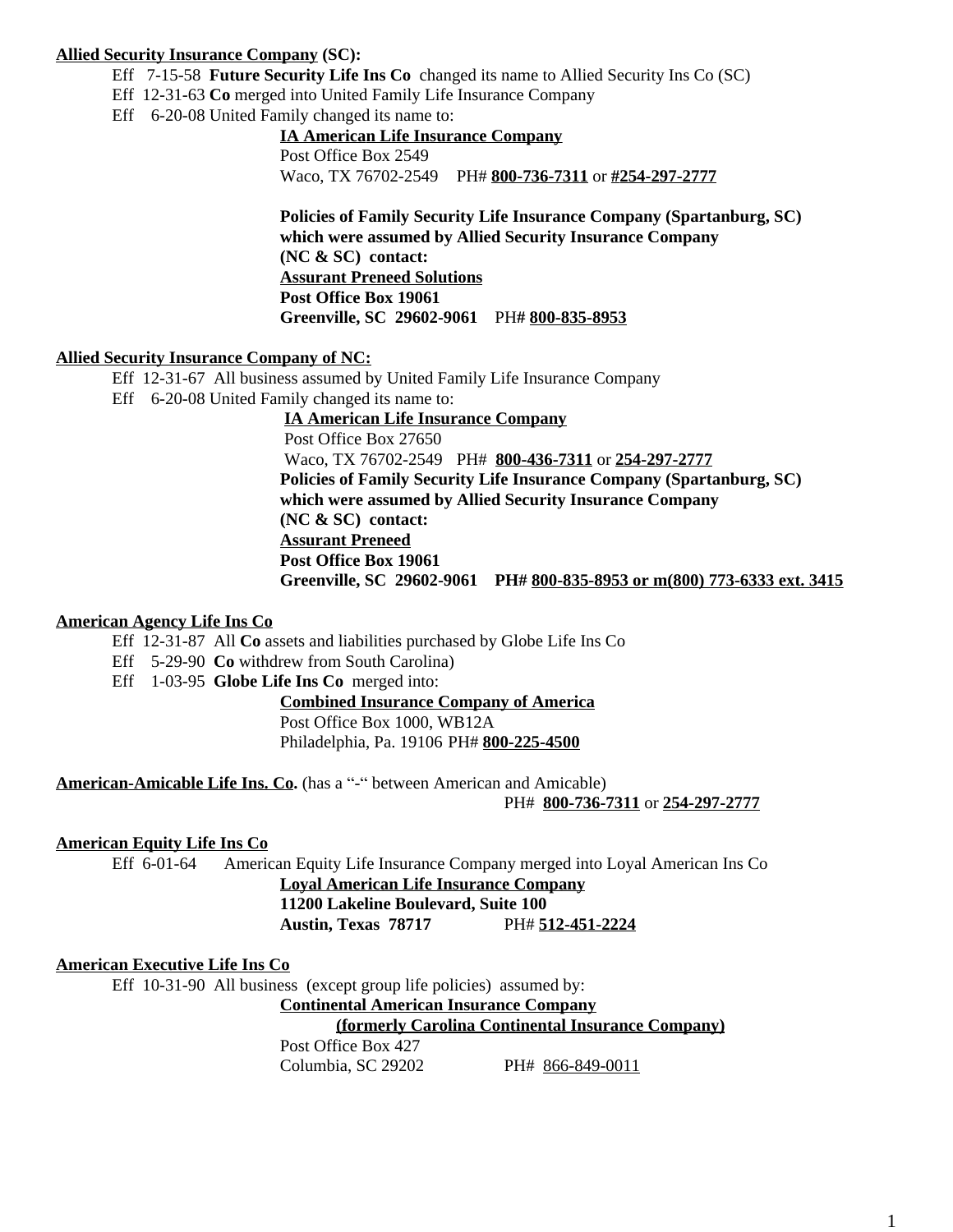# **Allied Security Insurance Company (SC):**

- Eff 7-15-58 **Future Security Life Ins Co** changed its name to Allied Security Ins Co (SC)
- Eff 12-31-63 **Co** merged into United Family Life Insurance Company
- Eff 6-20-08 United Family changed its name to:

# **IA American Life Insurance Company**

Post Office Box 2549 Waco, TX 76702-2549 PH# **800-736-7311** or **#254-297-2777**

**Policies of Family Security Life Insurance Company (Spartanburg, SC) which were assumed by Allied Security Insurance Company (NC & SC) contact: Assurant Preneed Solutions Post Office Box 19061 Greenville, SC 29602-9061** PH**# 800-835-8953**

# **Allied Security Insurance Company of NC:**

Eff 12-31-67 All business assumed by United Family Life Insurance Company Eff 6-20-08 United Family changed its name to:

> **IA American Life Insurance Company** Post Office Box 27650 Waco, TX 76702-2549 PH# **800-436-7311** or **254-297-2777 Policies of Family Security Life Insurance Company (Spartanburg, SC) which were assumed by Allied Security Insurance Company (NC & SC) contact: Assurant Preneed Post Office Box 19061 Greenville, SC 29602-9061 PH# 800-835-8953 or m(800) 773-6333 ext. 3415**

# **American Agency Life Ins Co**

- Eff 12-31-87 All **Co** assets and liabilities purchased by Globe Life Ins Co
- Eff 5-29-90 **Co** withdrew from South Carolina)
- Eff 1-03-95 **Globe Life Ins Co** merged into:

# **Combined Insurance Company of America**

Post Office Box 1000, WB12A

Philadelphia, Pa. 19106 PH# **800-225-4500**

**American-Amicable Life Ins. Co.** (has a "-" between American and Amicable)

PH# **800-736-7311** or **254-297-2777**

# **American Equity Life Ins Co**

Eff 6-01-64 American Equity Life Insurance Company merged into Loyal American Ins Co

# **Loyal American Life Insurance Company 11200 Lakeline Boulevard, Suite 100 Austin, Texas 78717** PH# **512-451-2224**

### **American Executive Life Ins Co**

Eff 10-31-90 All business (except group life policies) assumed by:

**Continental American Insurance Company**

**(formerly Carolina Continental Insurance Company)**

Post Office Box 427

Columbia, SC 29202 PH# 866-849-0011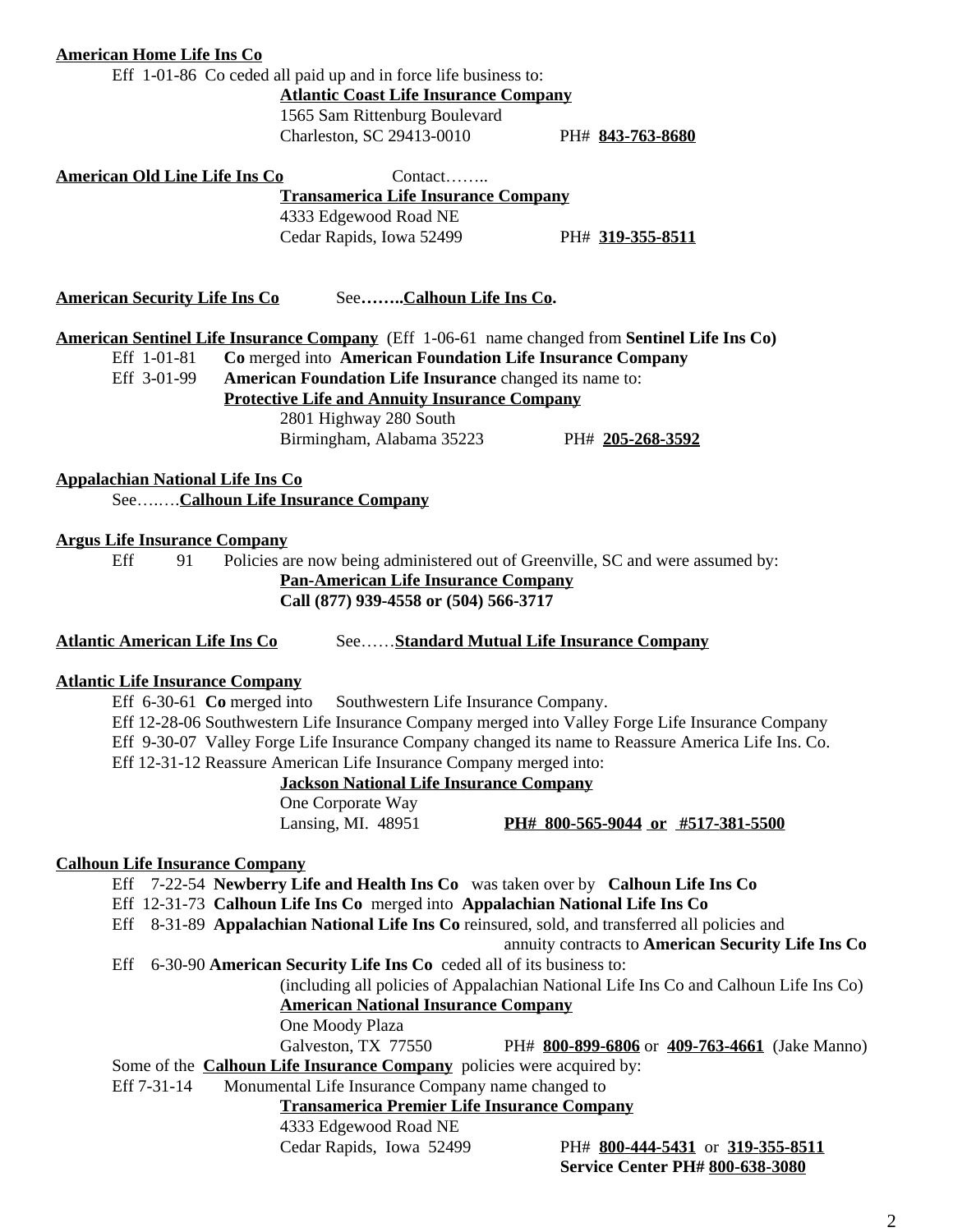### **American Home Life Ins Co**

Eff 1-01-86 Co ceded all paid up and in force life business to:

**Atlantic Coast Life Insurance Company** 1565 Sam Rittenburg Boulevard

Charleston, SC 29413-0010 PH# **843-763-8680**

American Old Line Life Ins Co<br>
Contact…….. **Transamerica Life Insurance Company** 4333 Edgewood Road NE Cedar Rapids, Iowa 52499 PH# **319-355-8511**

**American Security Life Ins Co** See**……..Calhoun Life Ins Co.**

**American Sentinel Life Insurance Company** (Eff 1-06-61 name changed from **Sentinel Life Ins Co)**

Eff 1-01-81 **Co** merged into **American Foundation Life Insurance Company**

American Foundation Life Insurance changed its name to:

**Protective Life and Annuity Insurance Company**

2801 Highway 280 South

Birmingham, Alabama 35223 PH# **205-268-3592**

**Appalachian National Life Ins Co** See….….**Calhoun Life Insurance Company**

### **Argus Life Insurance Company**

Eff 91 Policies are now being administered out of Greenville, SC and were assumed by:

**Pan-American Life Insurance Company Call (877) 939-4558 or (504) 566-3717**

**Atlantic American Life Ins Co** See……**Standard Mutual Life Insurance Company**

### **Atlantic Life Insurance Company**

Eff 6-30-61 **Co** merged into Southwestern Life Insurance Company. Eff 12-28-06 Southwestern Life Insurance Company merged into Valley Forge Life Insurance Company Eff 9-30-07 Valley Forge Life Insurance Company changed its name to Reassure America Life Ins. Co. Eff 12-31-12 Reassure American Life Insurance Company merged into:

**Jackson National Life Insurance Company**

One Corporate Way

Lansing, MI. 48951 **PH# 800-565-9044 or #517-381-5500**

### **Calhoun Life Insurance Company**

Eff 7-22-54 **Newberry Life and Health Ins Co** was taken over by **Calhoun Life Ins Co**

- Eff 12-31-73 **Calhoun Life Ins Co** merged into **Appalachian National Life Ins Co**
- Eff 8-31-89 **Appalachian National Life Ins Co** reinsured, sold, and transferred all policies and

annuity contracts to **American Security Life Ins Co**

Eff 6-30-90 **American Security Life Ins Co** ceded all of its business to:

(including all policies of Appalachian National Life Ins Co and Calhoun Life Ins Co)

**American National Insurance Company**

One Moody Plaza

Galveston, TX 77550 PH# **800-899-6806** or **409-763-4661** (Jake Manno)

Some of the **Calhoun Life Insurance Company** policies were acquired by:

Eff 7-31-14 Monumental Life Insurance Company name changed to

**Transamerica Premier Life Insurance Company**

4333 Edgewood Road NE

Cedar Rapids, Iowa 52499 PH# **800-444-5431** or **319-355-8511 Service Center PH# 800-638-3080**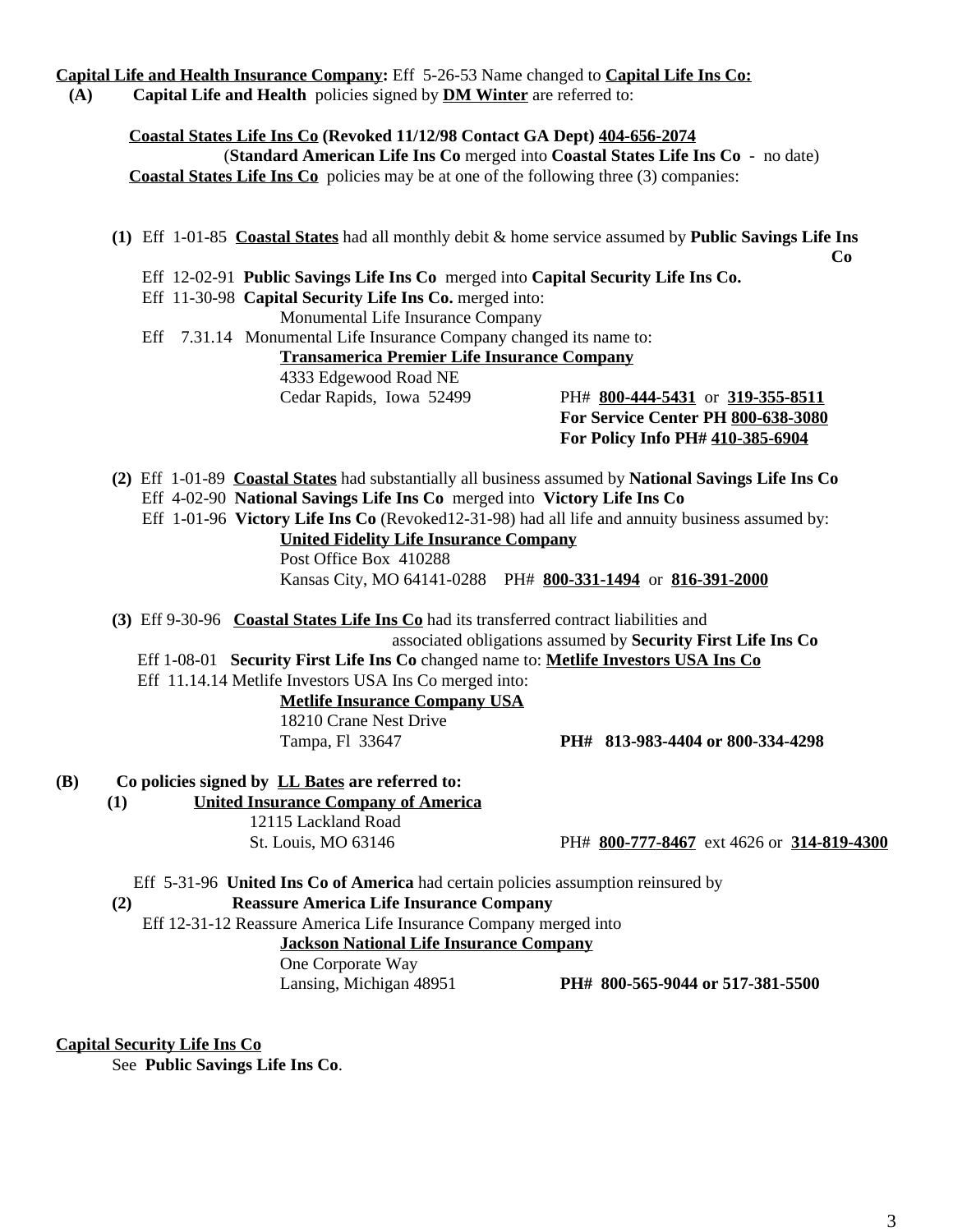# **Capital Life and Health Insurance Company:** Eff 5-26-53 Name changed to **Capital Life Ins Co:**

**(A) Capital Life and Health** policies signed by **DM Winter** are referred to:

 **Coastal States Life Ins Co (Revoked 11/12/98 Contact GA Dept) 404-656-2074** (**Standard American Life Ins Co** merged into **Coastal States Life Ins Co** - no date) **Coastal States Life Ins Co** policies may be at one of the following three (3) companies:

- **(1)** Eff1-01-85 **Coastal States** had all monthly debit & home service assumed by **Public Savings Life Ins Co**
	- Eff 12-02-91 **Public Savings Life Ins Co** merged into **Capital Security Life Ins Co.**
	- Eff 11-30-98 **Capital Security Life Ins Co.** merged into:

Monumental Life Insurance Company

 Eff 7.31.14 Monumental Life Insurance Company changed its name to: **Transamerica Premier Life Insurance Company** 4333 Edgewood Road NE Cedar Rapids, Iowa 52499 PH# **800-444-5431** or **319-355-8511**

**For Service Center PH 800-638-3080 For Policy Info PH# 410-385-6904**

- **(2)** Eff 1-01-89 **Coastal States** had substantially all business assumed by **National Savings Life Ins Co** Eff 4-02-90 **National Savings Life Ins Co** merged into **Victory Life Ins Co**
	- Eff 1-01-96 **Victory Life Ins Co** (Revoked12-31-98) had all life and annuity business assumed by: **United Fidelity Life Insurance Company** Post Office Box 410288 Kansas City, MO 64141-0288 PH# **800-331-1494** or **816-391-2000**
- **(3)** Eff 9-30-96 **Coastal States Life Ins Co** had its transferred contract liabilities and associated obligations assumed by **Security First Life Ins Co**

Eff 1-08-01 **Security First Life Ins Co** changed name to: **Metlife Investors USA Ins Co**

Eff 11.14.14 Metlife Investors USA Ins Co merged into:

**Metlife Insurance Company USA** 18210 Crane Nest Drive

Tampa, Fl 33647 **PH# 813-983-4404 or 800-334-4298**

- **(B) Co policies signed by LL Bates are referred to:**
	- **(1) United Insurance Company of America**

12115 Lackland Road

St. Louis, MO 63146 PH# **800-777-8467** ext 4626 or **314-819-4300**

Eff5-31-96 **United Ins Co of America** had certain policies assumption reinsured by

# **(2) Reassure America Life Insurance Company**

Eff 12-31-12 Reassure America Life Insurance Company merged into

**Jackson National Life Insurance Company**

One Corporate Way

Lansing, Michigan 48951 **PH# 800-565-9044 or 517-381-5500**

### **Capital Security Life Ins Co**

See **Public Savings Life Ins Co**.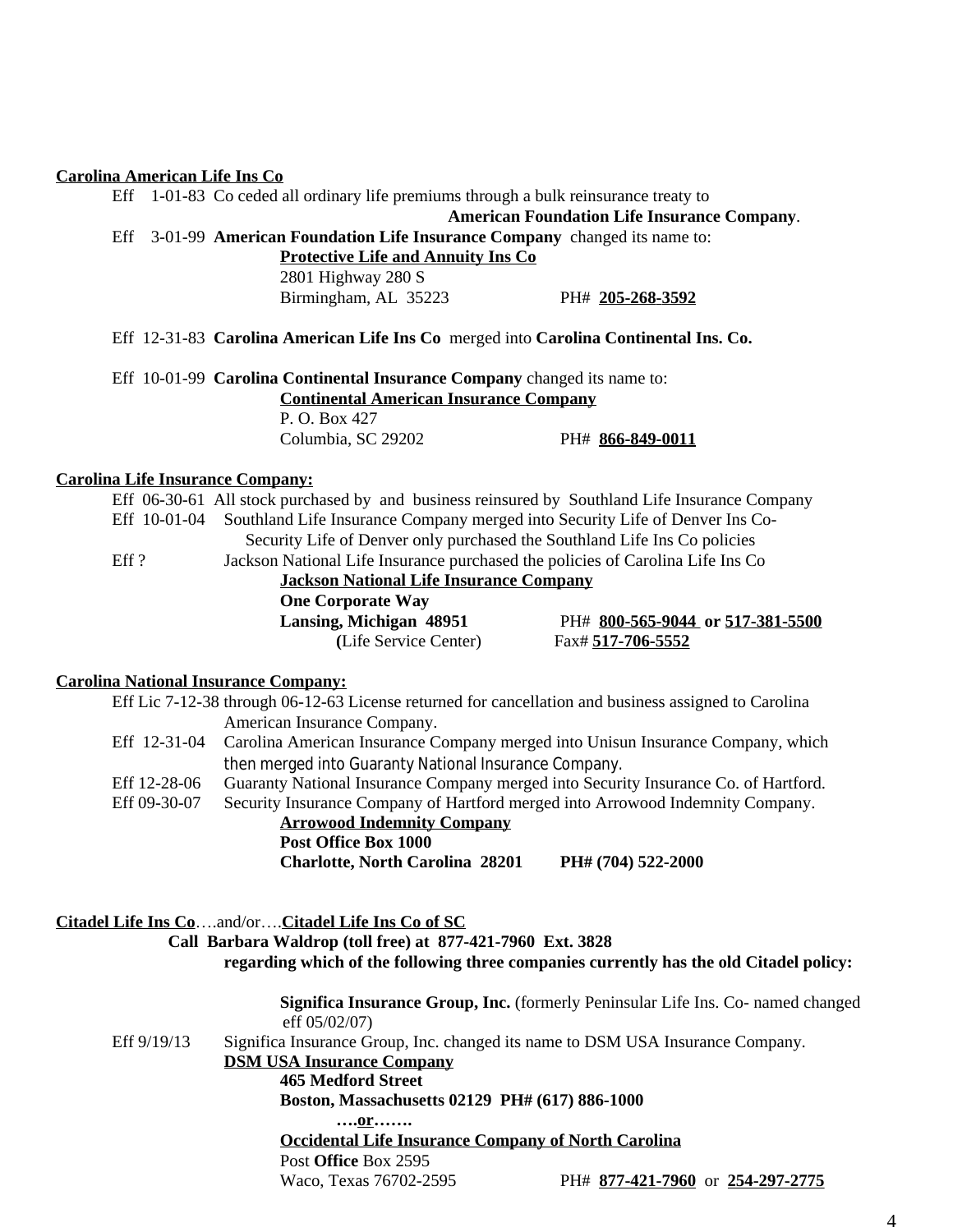# **Carolina American Life Ins Co**

|                                         | Eff  |                                           | 1-01-83 Co ceded all ordinary life premiums through a bulk reinsurance treaty to               |                                                    |  |  |  |
|-----------------------------------------|------|-------------------------------------------|------------------------------------------------------------------------------------------------|----------------------------------------------------|--|--|--|
|                                         |      |                                           |                                                                                                | <b>American Foundation Life Insurance Company.</b> |  |  |  |
|                                         | Eff  |                                           | 3-01-99 <b>American Foundation Life Insurance Company</b> changed its name to:                 |                                                    |  |  |  |
|                                         |      | <b>Protective Life and Annuity Ins Co</b> |                                                                                                |                                                    |  |  |  |
|                                         |      |                                           | 2801 Highway 280 S                                                                             |                                                    |  |  |  |
|                                         |      |                                           | Birmingham, AL 35223                                                                           | PH# 205-268-3592                                   |  |  |  |
|                                         |      |                                           | Eff 12-31-83 Carolina American Life Ins Co merged into Carolina Continental Ins. Co.           |                                                    |  |  |  |
|                                         |      |                                           | Eff 10-01-99 Carolina Continental Insurance Company changed its name to:                       |                                                    |  |  |  |
|                                         |      |                                           | <b>Continental American Insurance Company</b>                                                  |                                                    |  |  |  |
|                                         |      |                                           | P. O. Box 427                                                                                  |                                                    |  |  |  |
|                                         |      |                                           | Columbia, SC 29202                                                                             | PH# 866-849-0011                                   |  |  |  |
| <b>Carolina Life Insurance Company:</b> |      |                                           |                                                                                                |                                                    |  |  |  |
|                                         |      |                                           | Eff 06-30-61 All stock purchased by and business reinsured by Southland Life Insurance Company |                                                    |  |  |  |
|                                         |      | Eff 10-01-04                              | Southland Life Insurance Company merged into Security Life of Denver Ins Co-                   |                                                    |  |  |  |
|                                         |      |                                           | Security Life of Denver only purchased the Southland Life Ins Co policies                      |                                                    |  |  |  |
|                                         | Eff? |                                           | Jackson National Life Insurance purchased the policies of Carolina Life Ins Co                 |                                                    |  |  |  |

**Jackson National Life Insurance Company**

**One Corporate Way**

**(**Life Service Center) Fax# **517-706-5552**

**Lansing, Michigan 48951** PH# **800-565-9044 or 517-381-5500**

### **Carolina National Insurance Company:**

|                                                | Eff Lic 7-12-38 through 06-12-63 License returned for cancellation and business assigned to Carolina<br>American Insurance Company. |                                                                                                                                                                                   |  |  |  |  |  |  |
|------------------------------------------------|-------------------------------------------------------------------------------------------------------------------------------------|-----------------------------------------------------------------------------------------------------------------------------------------------------------------------------------|--|--|--|--|--|--|
| Eff 12-31-04                                   |                                                                                                                                     | Carolina American Insurance Company merged into Unisun Insurance Company, which                                                                                                   |  |  |  |  |  |  |
|                                                | then merged into Guaranty National Insurance Company.                                                                               |                                                                                                                                                                                   |  |  |  |  |  |  |
| Eff 12-28-06                                   | Guaranty National Insurance Company merged into Security Insurance Co. of Hartford.                                                 |                                                                                                                                                                                   |  |  |  |  |  |  |
| Eff 09-30-07                                   | Security Insurance Company of Hartford merged into Arrowood Indemnity Company.                                                      |                                                                                                                                                                                   |  |  |  |  |  |  |
|                                                | <b>Arrowood Indemnity Company</b>                                                                                                   |                                                                                                                                                                                   |  |  |  |  |  |  |
|                                                | Post Office Box 1000                                                                                                                |                                                                                                                                                                                   |  |  |  |  |  |  |
|                                                | <b>Charlotte, North Carolina 28201</b>                                                                                              | PH# (704) 522-2000                                                                                                                                                                |  |  |  |  |  |  |
|                                                | Citadel Life Ins Coand/orCitadel Life Ins Co of SC<br>Call Barbara Waldrop (toll free) at 877-421-7960 Ext. 3828                    | regarding which of the following three companies currently has the old Citadel policy:<br><b>Significa Insurance Group, Inc.</b> (formerly Peninsular Life Ins. Co- named changed |  |  |  |  |  |  |
|                                                | eff 05/02/07)                                                                                                                       |                                                                                                                                                                                   |  |  |  |  |  |  |
| Eff 9/19/13                                    | Significa Insurance Group, Inc. changed its name to DSM USA Insurance Company.                                                      |                                                                                                                                                                                   |  |  |  |  |  |  |
|                                                | <b>DSM USA Insurance Company</b>                                                                                                    |                                                                                                                                                                                   |  |  |  |  |  |  |
|                                                | <b>465 Medford Street</b>                                                                                                           |                                                                                                                                                                                   |  |  |  |  |  |  |
| Boston, Massachusetts 02129 PH# (617) 886-1000 |                                                                                                                                     |                                                                                                                                                                                   |  |  |  |  |  |  |
|                                                | 0r                                                                                                                                  |                                                                                                                                                                                   |  |  |  |  |  |  |
|                                                | <b>Occidental Life Insurance Company of North Carolina</b>                                                                          |                                                                                                                                                                                   |  |  |  |  |  |  |
|                                                | Post Office Box 2595                                                                                                                |                                                                                                                                                                                   |  |  |  |  |  |  |
|                                                | Waco, Texas 76702-2595                                                                                                              | PH# 877-421-7960 or 254-297-2775                                                                                                                                                  |  |  |  |  |  |  |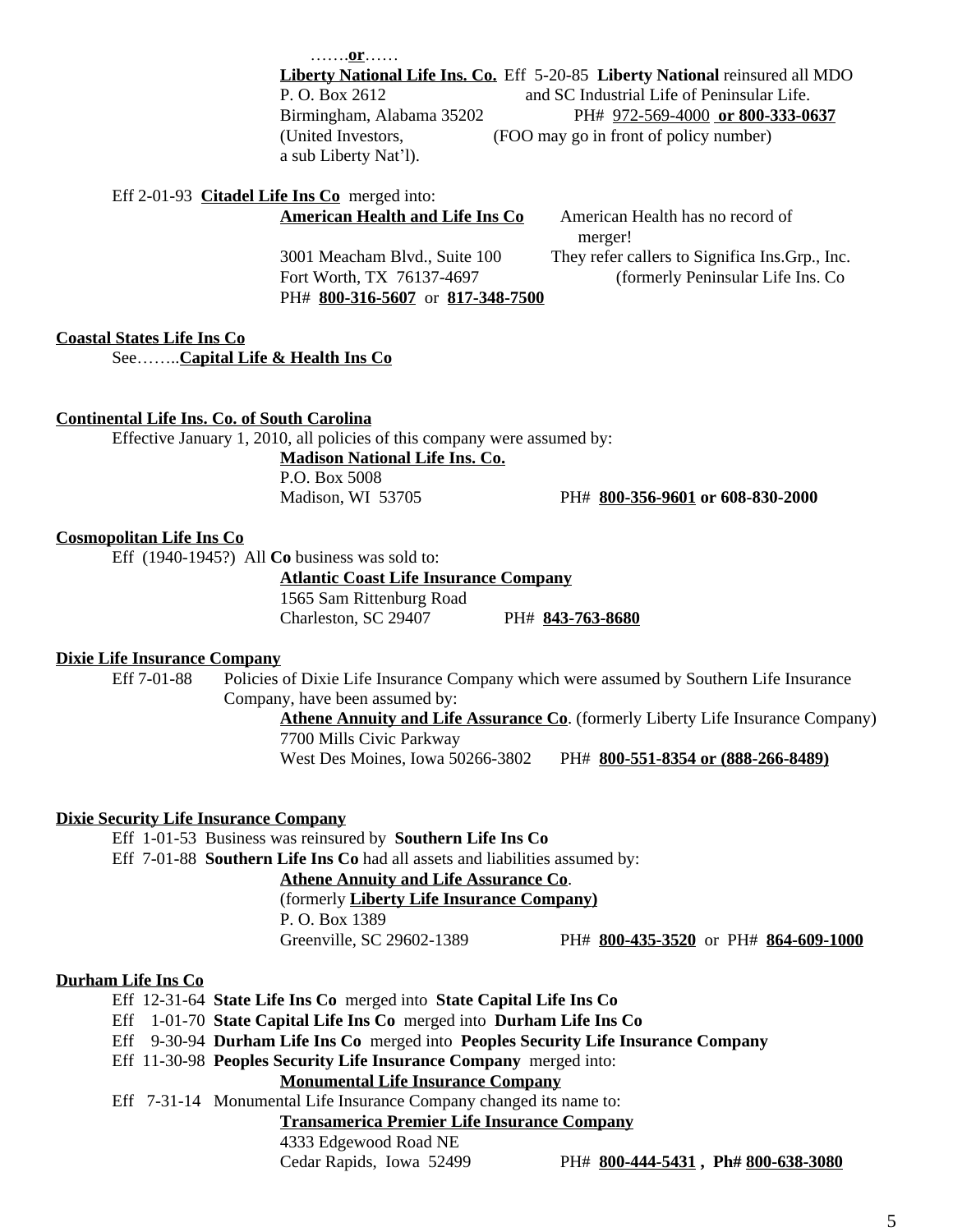…….**or**……

**Liberty National Life Ins. Co.** Eff 5-20-85 **Liberty National** reinsured all MDO P. O. Box 2612 and SC Industrial Life of Peninsular Life. Birmingham, Alabama 35202 PH# 972-569-4000 **or 800-333-0637** (United Investors, (FOO may go in front of policy number) a sub Liberty Nat'l).

# Eff 2-01-93 **Citadel Life Ins Co** merged into:

PH# **800-316-5607** or **817-348-7500**

**American Health and Life Ins Co** American Health has no record of merger! 3001 Meacham Blvd., Suite 100 They refer callers to Significa Ins.Grp., Inc. Fort Worth, TX 76137-4697 (formerly Peninsular Life Ins. Co

### **Coastal States Life Ins Co** See……..**Capital Life & Health Ins Co**

#### **Continental Life Ins. Co. of South Carolina**

Effective January 1, 2010, all policies of this company were assumed by:

**Madison National Life Ins. Co.** P.O. Box 5008

Madison, WI 53705 PH# **800-356-9601 or 608-830-2000**

### **Cosmopolitan Life Ins Co**

Eff (1940-1945?) All **Co** business was sold to:

**Atlantic Coast Life Insurance Company**

1565 Sam Rittenburg Road

Charleston, SC 29407 PH# **843-763-8680**

### **Dixie Life Insurance Company**

Eff 7-01-88 Policies of Dixie Life Insurance Company which were assumed by Southern Life Insurance Company, have been assumed by:

> Athene Annuity and Life Assurance Co. (formerly Liberty Life Insurance Company) 7700 Mills Civic Parkway

West Des Moines, Iowa 50266-3802 PH# **800-551-8354 or (888-266-8489)**

### **Dixie Security Life Insurance Company**

Eff 1-01-53 Business was reinsured by **Southern Life Ins Co**

Eff 7-01-88 **Southern Life Ins Co** had all assets and liabilities assumed by:

# **Athene Annuity and Life Assurance Co**.

(formerly **Liberty Life Insurance Company)**

P. O. Box 1389

Greenville, SC 29602-1389 PH# **800-435-3520** orPH# **864-609-1000**

### **Durham Life Ins Co**

- Eff 12-31-64 **State Life Ins Co** merged into **State Capital Life Ins Co**
- Eff 1-01-70 **State Capital Life Ins Co** merged into **Durham Life Ins Co**
- Eff 9-30-94 **Durham Life Ins Co** merged into **Peoples Security Life Insurance Company**
- Eff 11-30-98 **Peoples Security Life Insurance Company** merged into:

# **Monumental Life Insurance Company**

Eff 7-31-14 Monumental Life Insurance Company changed its name to:

**Transamerica Premier Life Insurance Company**

4333 Edgewood Road NE

Cedar Rapids, Iowa 52499 PH# **800-444-5431 , Ph# 800-638-3080**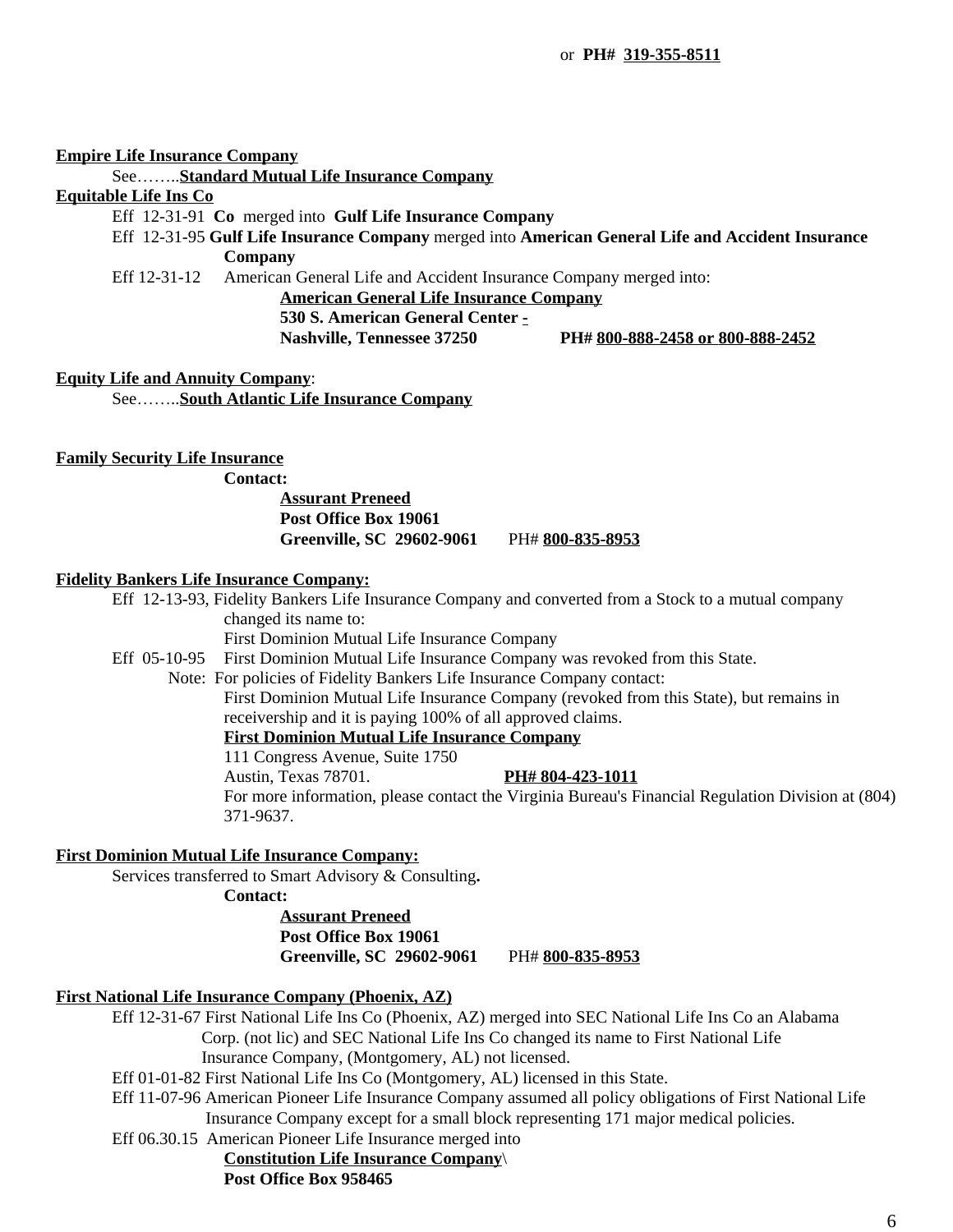### **Empire Life Insurance Company**

See……..**Standard Mutual Life Insurance Company**

# **Equitable Life Ins Co**

- Eff 12-31-91 **Co** merged into **Gulf Life Insurance Company**
- Eff 12-31-95 **Gulf Life Insurance Company** merged into **American General Life and Accident Insurance Company**

Eff 12-31-12 American General Life and Accident Insurance Company merged into:

**American General Life Insurance Company**

**530 S. American General Center -**

**Nashville, Tennessee 37250 PH# 800-888-2458 or 800-888-2452**

**Equity Life and Annuity Company**:

See……..**South Atlantic Life Insurance Company**

### **Family Security Life Insurance**

**Contact:**

# **Assurant Preneed Post Office Box 19061 Greenville, SC 29602-9061** PH# **800-835-8953**

#### **Fidelity Bankers Life Insurance Company:**

Eff 12-13-93, Fidelity Bankers Life Insurance Company and converted from a Stock to a mutual company changed its name to:

First Dominion Mutual Life Insurance Company

Eff 05-10-95 First Dominion Mutual Life Insurance Company was revoked from this State.

Note: For policies of Fidelity Bankers Life Insurance Company contact:

First Dominion Mutual Life Insurance Company (revoked from this State), but remains in receivership and it is paying 100% of all approved claims.

# **First Dominion Mutual Life Insurance Company**

111 Congress Avenue, Suite 1750

Austin, Texas 78701. **PH# 804-423-1011**

For more information, please contact the Virginia Bureau's Financial Regulation Division at (804) 371-9637.

# **First Dominion Mutual Life Insurance Company:**

Services transferred to Smart Advisory & Consulting**.**

**Contact:**

**Assurant Preneed Post Office Box 19061 Greenville, SC 29602-9061** PH# **800-835-8953**

### **First National Life Insurance Company (Phoenix, AZ)**

Eff 12-31-67 First National Life Ins Co (Phoenix, AZ) merged into SEC National Life Ins Co an Alabama Corp. (not lic) and SEC National Life Ins Co changed its name to First National Life Insurance Company, (Montgomery, AL) not licensed.

- Eff 01-01-82 First National Life Ins Co (Montgomery, AL) licensed in this State.
- Eff 11-07-96 American Pioneer Life Insurance Company assumed all policy obligations of First National Life Insurance Company except for a small block representing 171 major medical policies.
- Eff 06.30.15 American Pioneer Life Insurance merged into

# **Constitution Life Insurance Company**\

# **Post Office Box 958465**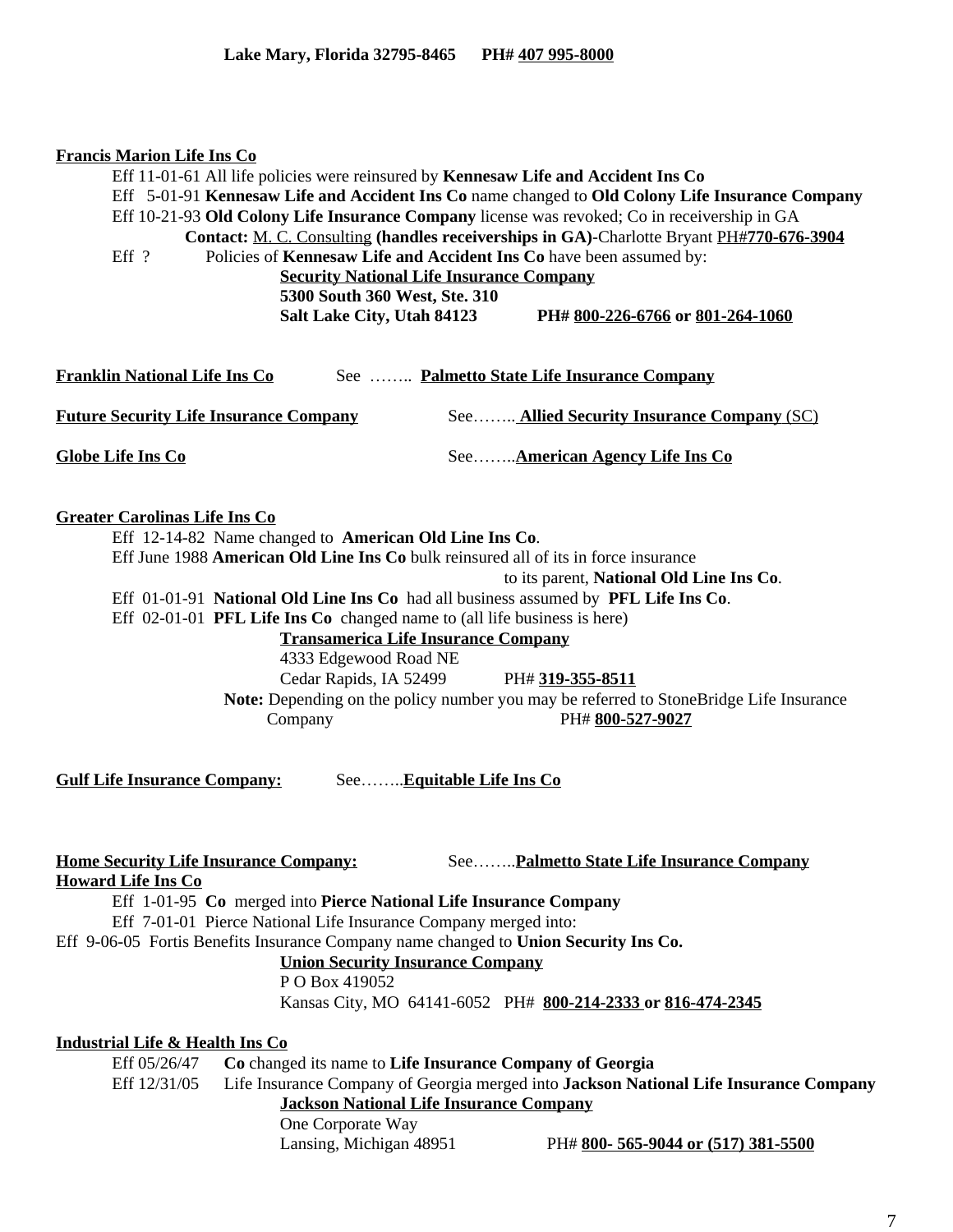| <b>Francis Marion Life Ins Co</b><br>Eff ?                                | Eff 11-01-61 All life policies were reinsured by Kennesaw Life and Accident Ins Co<br>Policies of Kennesaw Life and Accident Ins Co have been assumed by:<br><b>Security National Life Insurance Company</b><br>5300 South 360 West, Ste. 310<br>Salt Lake City, Utah 84123                                                                                                                                                 |                           | Eff 5-01-91 Kennesaw Life and Accident Ins Co name changed to Old Colony Life Insurance Company<br>Eff 10-21-93 Old Colony Life Insurance Company license was revoked; Co in receivership in GA<br>Contact: M. C. Consulting (handles receiverships in GA)-Charlotte Bryant PH#770-676-3904<br>PH# 800-226-6766 or 801-264-1060 |
|---------------------------------------------------------------------------|-----------------------------------------------------------------------------------------------------------------------------------------------------------------------------------------------------------------------------------------------------------------------------------------------------------------------------------------------------------------------------------------------------------------------------|---------------------------|---------------------------------------------------------------------------------------------------------------------------------------------------------------------------------------------------------------------------------------------------------------------------------------------------------------------------------|
| Franklin National Life Ins Co                                             |                                                                                                                                                                                                                                                                                                                                                                                                                             |                           | See  Palmetto State Life Insurance Company                                                                                                                                                                                                                                                                                      |
| <b>Future Security Life Insurance Company</b>                             |                                                                                                                                                                                                                                                                                                                                                                                                                             |                           | See Allied Security Insurance Company (SC)                                                                                                                                                                                                                                                                                      |
| <b>Globe Life Ins Co</b>                                                  |                                                                                                                                                                                                                                                                                                                                                                                                                             |                           | SeeAmerican Agency Life Ins Co                                                                                                                                                                                                                                                                                                  |
| <b>Greater Carolinas Life Ins Co</b>                                      | Eff 12-14-82 Name changed to American Old Line Ins Co.<br>Eff June 1988 American Old Line Ins Co bulk reinsured all of its in force insurance<br>Eff 01-01-91 National Old Line Ins Co had all business assumed by PFL Life Ins Co.<br>Eff 02-01-01 PFL Life Ins Co changed name to (all life business is here)<br><b>Transamerica Life Insurance Company</b><br>4333 Edgewood Road NE<br>Cedar Rapids, IA 52499<br>Company |                           | to its parent, National Old Line Ins Co.<br>PH# 319-355-8511<br>Note: Depending on the policy number you may be referred to StoneBridge Life Insurance<br>PH# 800-527-9027                                                                                                                                                      |
| <b>Gulf Life Insurance Company:</b>                                       |                                                                                                                                                                                                                                                                                                                                                                                                                             | See Equitable Life Ins Co |                                                                                                                                                                                                                                                                                                                                 |
| <b>Home Security Life Insurance Company:</b><br><b>Howard Life Ins Co</b> | Eff 1-01-95 Co merged into Pierce National Life Insurance Company<br>Eff 7-01-01 Pierce National Life Insurance Company merged into:<br>Eff 9-06-05 Fortis Benefits Insurance Company name changed to Union Security Ins Co.<br><b>Union Security Insurance Company</b><br>P O Box 419052                                                                                                                                   |                           | SeePalmetto State Life Insurance Company<br>Kansas City, MO 64141-6052 PH# 800-214-2333 or 816-474-2345                                                                                                                                                                                                                         |
| <u>Industrial Life &amp; Health Ins Co</u>                                |                                                                                                                                                                                                                                                                                                                                                                                                                             |                           |                                                                                                                                                                                                                                                                                                                                 |
| Eff 05/26/47                                                              | Co changed its name to Life Insurance Company of Georgia                                                                                                                                                                                                                                                                                                                                                                    |                           |                                                                                                                                                                                                                                                                                                                                 |
| Eff 12/31/05                                                              | <b>Jackson National Life Insurance Company</b>                                                                                                                                                                                                                                                                                                                                                                              |                           | Life Insurance Company of Georgia merged into Jackson National Life Insurance Company                                                                                                                                                                                                                                           |
|                                                                           | One Corporate Way<br>Lansing, Michigan 48951                                                                                                                                                                                                                                                                                                                                                                                |                           | PH# 800-565-9044 or (517) 381-5500                                                                                                                                                                                                                                                                                              |
|                                                                           |                                                                                                                                                                                                                                                                                                                                                                                                                             |                           |                                                                                                                                                                                                                                                                                                                                 |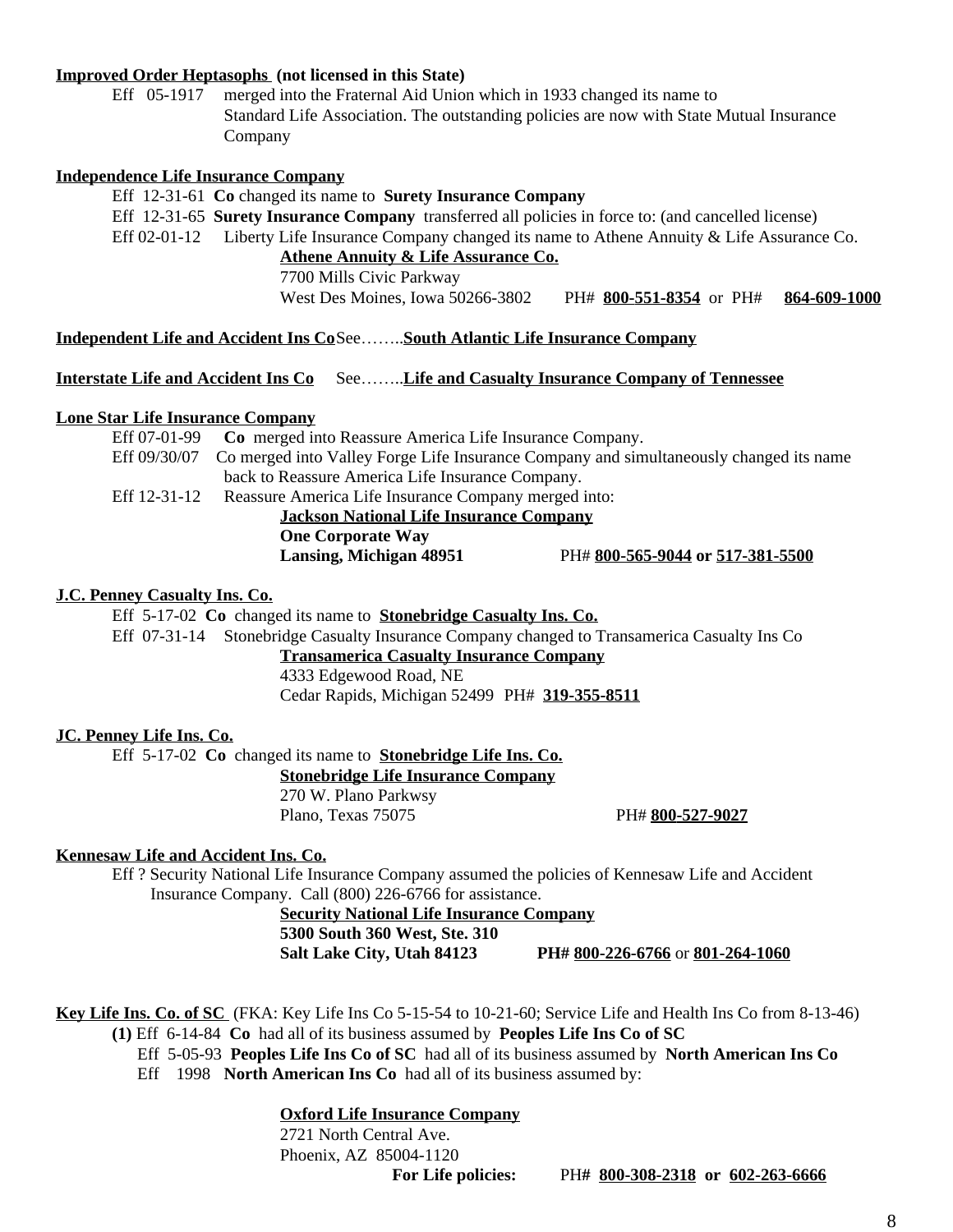### **Improved Order Heptasophs (not licensed in this State)**

Eff 05-1917 merged into the Fraternal Aid Union which in 1933 changed its name to Standard Life Association. The outstanding policies are now with State Mutual Insurance Company

### **Independence Life Insurance Company**

Eff 12-31-61 **Co** changed its name to **Surety Insurance Company** Eff 12-31-65 **Surety Insurance Company** transferred all policies in force to: (and cancelled license)

Eff 02-01-12 Liberty Life Insurance Company changed its name to Athene Annuity & Life Assurance Co. **Athene Annuity & Life Assurance Co.**

7700 Mills Civic Parkway

West Des Moines, Iowa 50266-3802 PH# **800-551-8354** orPH# **864-609-1000**

### **Independent Life and Accident Ins Co**See……..**South Atlantic Life Insurance Company**

**Interstate Life and Accident Ins Co** See……..**Life and Casualty Insurance Company of Tennessee**

### **Lone Star Life Insurance Company**

| Eff 07-01-99                                   | Co merged into Reassure America Life Insurance Company.                                |                                  |  |  |  |
|------------------------------------------------|----------------------------------------------------------------------------------------|----------------------------------|--|--|--|
| Eff 09/30/07                                   | Co merged into Valley Forge Life Insurance Company and simultaneously changed its name |                                  |  |  |  |
|                                                | back to Reassure America Life Insurance Company.                                       |                                  |  |  |  |
| Eff 12-31-12                                   | Reassure America Life Insurance Company merged into:                                   |                                  |  |  |  |
| <b>Jackson National Life Insurance Company</b> |                                                                                        |                                  |  |  |  |
|                                                | <b>One Corporate Way</b>                                                               |                                  |  |  |  |
|                                                | Lansing, Michigan 48951                                                                | PH# 800-565-9044 or 517-381-5500 |  |  |  |
|                                                |                                                                                        |                                  |  |  |  |

### **J.C. Penney Casualty Ins. Co.**

Eff 5-17-02 **Co** changed its name to **Stonebridge Casualty Ins. Co.**

Eff 07-31-14 Stonebridge Casualty Insurance Company changed to Transamerica Casualty Ins Co

**Transamerica Casualty Insurance Company**

4333 Edgewood Road, NE Cedar Rapids, Michigan 52499 PH# **319-355-8511**

### **JC. Penney Life Ins. Co.**

Eff 5-17-02 **Co** changed its name to **Stonebridge Life Ins. Co.**

**Stonebridge Life Insurance Company**

270 W. Plano Parkwsy Plano, Texas 75075 PH# **800-527-9027**

# **Kennesaw Life and Accident Ins. Co.**

Eff ? Security National Life Insurance Company assumed the policies of Kennesaw Life and Accident Insurance Company. Call (800) 226-6766 for assistance.

#### **Security National Life Insurance Company**

**5300 South 360 West, Ste. 310**

**Salt Lake City, Utah 84123 PH# 800-226-6766** or **801-264-1060**

**Key Life Ins. Co. of SC** (FKA: Key Life Ins Co 5-15-54 to 10-21-60; Service Life and Health Ins Co from 8-13-46) **(1)** Eff 6-14-84 **Co** had all of its business assumed by **Peoples Life Ins Co of SC**

Eff 5-05-93 **Peoples Life Ins Co of SC** had all of its business assumed by **North American Ins Co** Eff 1998 **North American Ins Co** had all of its business assumed by:

### **Oxford Life Insurance Company**

2721 North Central Ave. Phoenix, AZ 85004-1120

**For Life policies:** PH**# 800-308-2318 or 602-263-6666**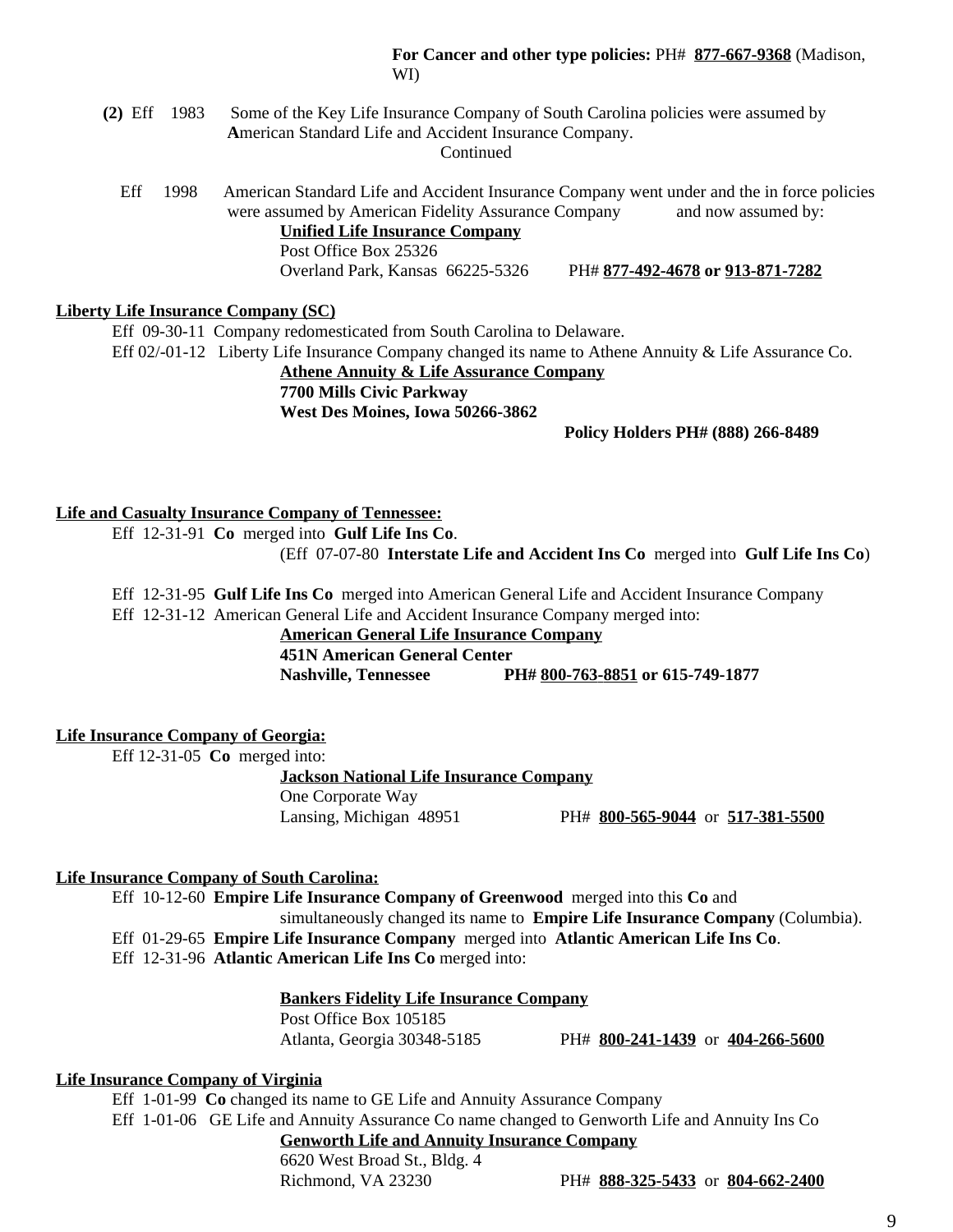### **For Cancer and other type policies:** PH# **877-667-9368** (Madison, WI)

- **(2)** Eff 1983 Some of the Key Life Insurance Company of South Carolina policies were assumed by  **A**merican Standard Life and Accident Insurance Company. **Continued** 
	- Eff1998 American Standard Life and Accident Insurance Company went under and the in force policies were assumed by American Fidelity Assurance Company and now assumed by: **Unified Life Insurance Company** Post Office Box 25326

Overland Park, Kansas 66225-5326 PH# **877-492-4678 or 913-871-7282**

### **Liberty Life Insurance Company (SC)**

Eff 09-30-11 Company redomesticated from South Carolina to Delaware. Eff 02/-01-12 Liberty Life Insurance Company changed its name to Athene Annuity & Life Assurance Co.

> **Athene Annuity & Life Assurance Company 7700 Mills Civic Parkway**

**West Des Moines, Iowa 50266-3862**

### **Policy Holders PH# (888) 266-8489**

# **Life and Casualty Insurance Company of Tennessee:**

Eff 12-31-91 **Co** merged into **Gulf Life Ins Co**.

(Eff 07-07-80 **Interstate Life and Accident Ins Co** merged into **Gulf Life Ins Co**)

Eff 12-31-95 **Gulf Life Ins Co** merged into American General Life and Accident Insurance Company

Eff 12-31-12 American General Life and Accident Insurance Company merged into:

# **American General Life Insurance Company**

**451N American General Center**

**Nashville, Tennessee PH# 800-763-8851 or 615-749-1877**

### **Life Insurance Company of Georgia:**

Eff 12-31-05 **Co** merged into:

**Jackson National Life Insurance Company** One Corporate Way Lansing, Michigan 48951 PH# **800-565-9044** or **517-381-5500**

### **Life Insurance Company of South Carolina:**

Eff 10-12-60 **Empire Life Insurance Company of Greenwood** merged into this **Co** and

simultaneously changed its name to **Empire Life Insurance Company** (Columbia). Eff 01-29-65 **Empire Life Insurance Company** merged into **Atlantic American Life Ins Co**. Eff 12-31-96 **Atlantic American Life Ins Co** merged into:

# **Bankers Fidelity Life Insurance Company**

Post Office Box 105185

Atlanta, Georgia 30348-5185 PH# **800-241-1439** or **404-266-5600**

### **Life Insurance Company of Virginia**

Eff 1-01-99 **Co** changed its name to GE Life and Annuity Assurance Company

Eff 1-01-06 GE Life and Annuity Assurance Co name changed to Genworth Life and Annuity Ins Co **Genworth Life and Annuity Insurance Company**

6620 West Broad St., Bldg. 4

Richmond, VA 23230 PH# **888-325-5433** or **804-662-2400**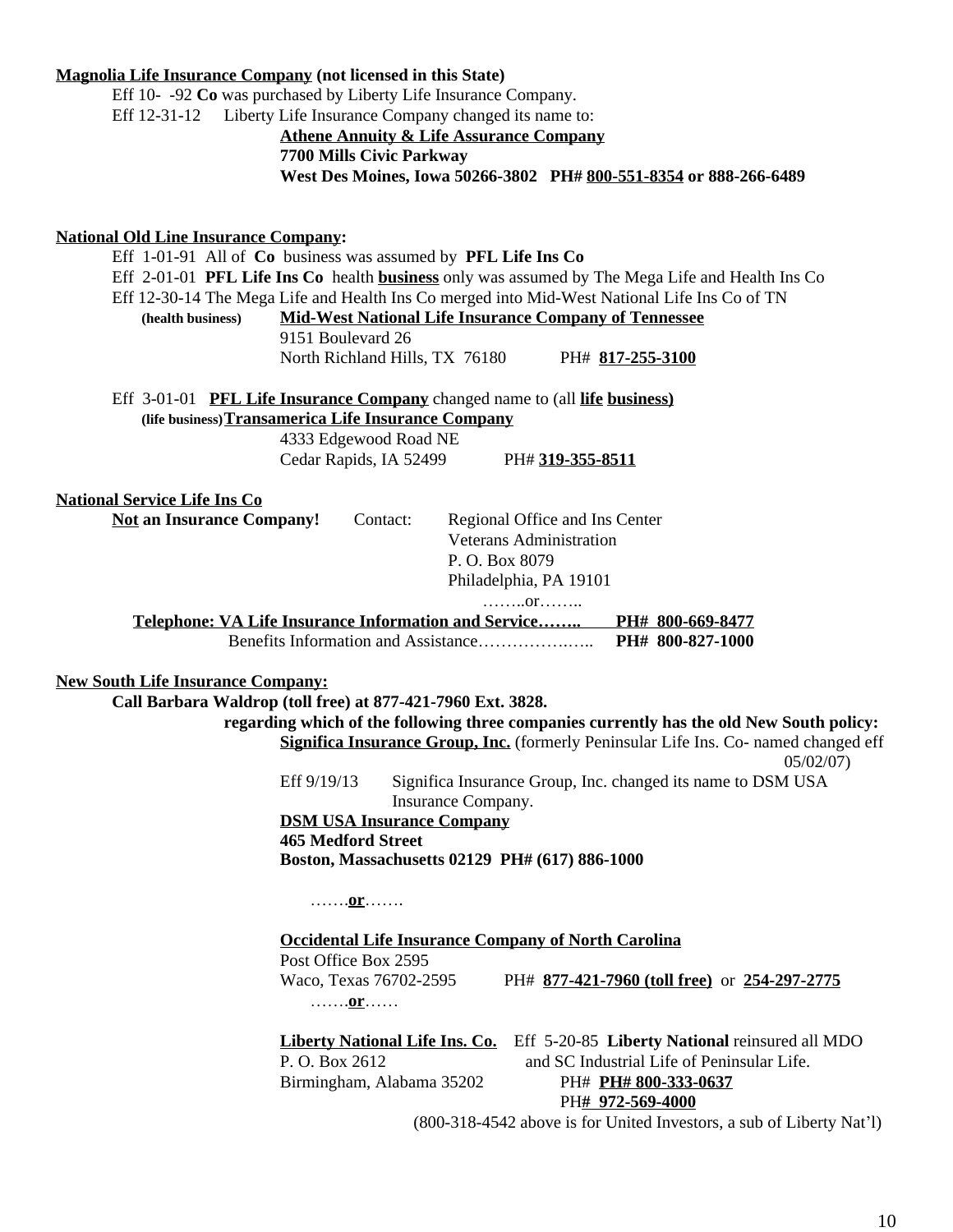### **Magnolia Life Insurance Company (not licensed in this State)**

Eff 10- -92 **Co** was purchased by Liberty Life Insurance Company. Eff 12-31-12 Liberty Life Insurance Company changed its name to:

# **Athene Annuity & Life Assurance Company 7700 Mills Civic Parkway West Des Moines, Iowa 50266-3802 PH# 800-551-8354 or 888-266-6489**

### **National Old Line Insurance Company:**

Eff 1-01-91 All of **Co** business was assumed by **PFL Life Ins Co** Eff 2-01-01 **PFL Life Ins Co** health **business** only was assumed by The Mega Life and Health Ins Co Eff 12-30-14 The Mega Life and Health Ins Co merged into Mid-West National Life Ins Co of TN **(health business) Mid-West National Life Insurance Company of Tennessee** 9151 Boulevard 26 North Richland Hills, TX 76180 PH# **817-255-3100** Eff 3-01-01 **PFL Life Insurance Company** changed name to (all **life business) (life business)Transamerica Life Insurance Company** 4333 Edgewood Road NE Cedar Rapids, IA 52499 PH# **319-355-8511 National Service Life Ins Co Not an Insurance Company!** Contact: Regional Office and Ins Center Veterans Administration P. O. Box 8079 Philadelphia, PA 19101 ……..or…….. **Telephone: VA Life Insurance Information and Service…….. PH# 800-669-8477** Benefits Information and Assistance…………….….. **PH# 800-827-1000 New South Life Insurance Company: Call Barbara Waldrop (toll free) at 877-421-7960 Ext. 3828. regarding which of the following three companies currently has the old New South policy: Significa Insurance Group, Inc.** (formerly Peninsular Life Ins. Co- named changed eff 05/02/07) Eff 9/19/13 Significa Insurance Group, Inc. changed its name to DSM USA Insurance Company. **DSM USA Insurance Company 465 Medford Street Boston, Massachusetts 02129 PH# (617) 886-1000** …….**or**……. **Occidental Life Insurance Company of North Carolina** Post Office Box 2595 Waco, Texas 76702-2595 PH# **877-421-7960 (toll free)** or **254-297-2775** …….**or**…… **Liberty National Life Ins. Co.** Eff 5-20-85 **Liberty National** reinsured all MDO P. O. Box 2612 and SC Industrial Life of Peninsular Life. Birmingham, Alabama 35202 PH# **PH# 800-333-0637** PH**# 972-569-4000** (800-318-4542 above is for United Investors, a sub of Liberty Nat'l)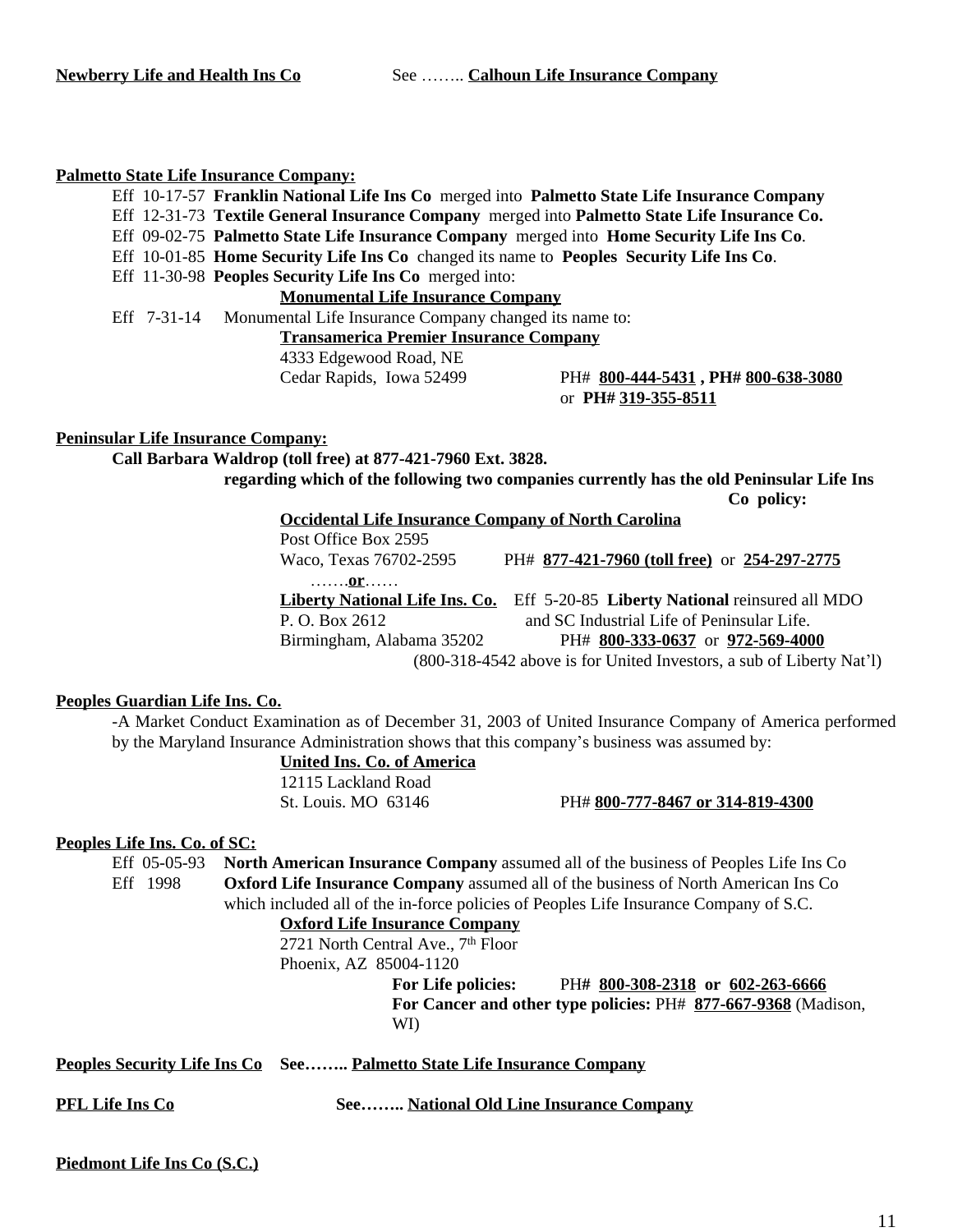### **Palmetto State Life Insurance Company:**

Eff 10-17-57 **Franklin National Life Ins Co** merged into **Palmetto State Life Insurance Company** Eff 12-31-73 **Textile General Insurance Company** merged into **Palmetto State Life Insurance Co.** Eff 09-02-75 **Palmetto State Life Insurance Company** merged into **Home Security Life Ins Co**. Eff 10-01-85 **Home Security Life Ins Co** changed its name to **Peoples Security Life Ins Co**. Eff 11-30-98 **Peoples Security Life Ins Co** merged into: **Monumental Life Insurance Company** Eff 7-31-14 Monumental Life Insurance Company changed its name to: **Transamerica Premier Insurance Company** 4333 Edgewood Road, NE

Cedar Rapids, Iowa 52499 PH# **800-444-5431 , PH# 800-638-3080** or **PH# 319-355-8511**

### **Peninsular Life Insurance Company:**

**Call Barbara Waldrop (toll free) at 877-421-7960 Ext. 3828.**

**regarding which of the following two companies currently has the old Peninsular Life Ins**

**Co policy:**

**Occidental Life Insurance Company of North Carolina**

Post Office Box 2595 Waco, Texas 76702-2595 PH# **877-421-7960 (toll free)** or **254-297-2775** …….**or**…… **Liberty National Life Ins. Co.** Eff 5-20-85 **Liberty National** reinsured all MDO P. O. Box 2612 and SC Industrial Life of Peninsular Life. Birmingham, Alabama 35202 PH# **800-333-0637** or **972-569-4000** (800-318-4542 above is for United Investors, a sub of Liberty Nat'l)

### **Peoples Guardian Life Ins. Co.**

-A Market Conduct Examination as of December 31, 2003 of United Insurance Company of America performed by the Maryland Insurance Administration shows that this company's business was assumed by:

# **United Ins. Co. of America**

12115 Lackland Road St. Louis. MO 63146 PH# **800-777-8467 or 314-819-4300**

### **Peoples Life Ins. Co. of SC:**

Eff 05-05-93 **North American Insurance Company** assumed all of the business of Peoples Life Ins Co Eff 1998 **Oxford Life Insurance Company** assumed all of the business of North American Ins Co which included all of the in-force policies of Peoples Life Insurance Company of S.C.

**Oxford Life Insurance Company**

2721 North Central Ave., 7<sup>th</sup> Floor

Phoenix, AZ 85004-1120

**For Life policies:** PH**# 800-308-2318 or 602-263-6666 For Cancer and other type policies:** PH# **877-667-9368** (Madison, WI)

**Peoples Security Life Ins Co See…….. Palmetto State Life Insurance Company**

**PFL Life Ins Co See…….. National Old Line Insurance Company**

**Piedmont Life Ins Co (S.C.)**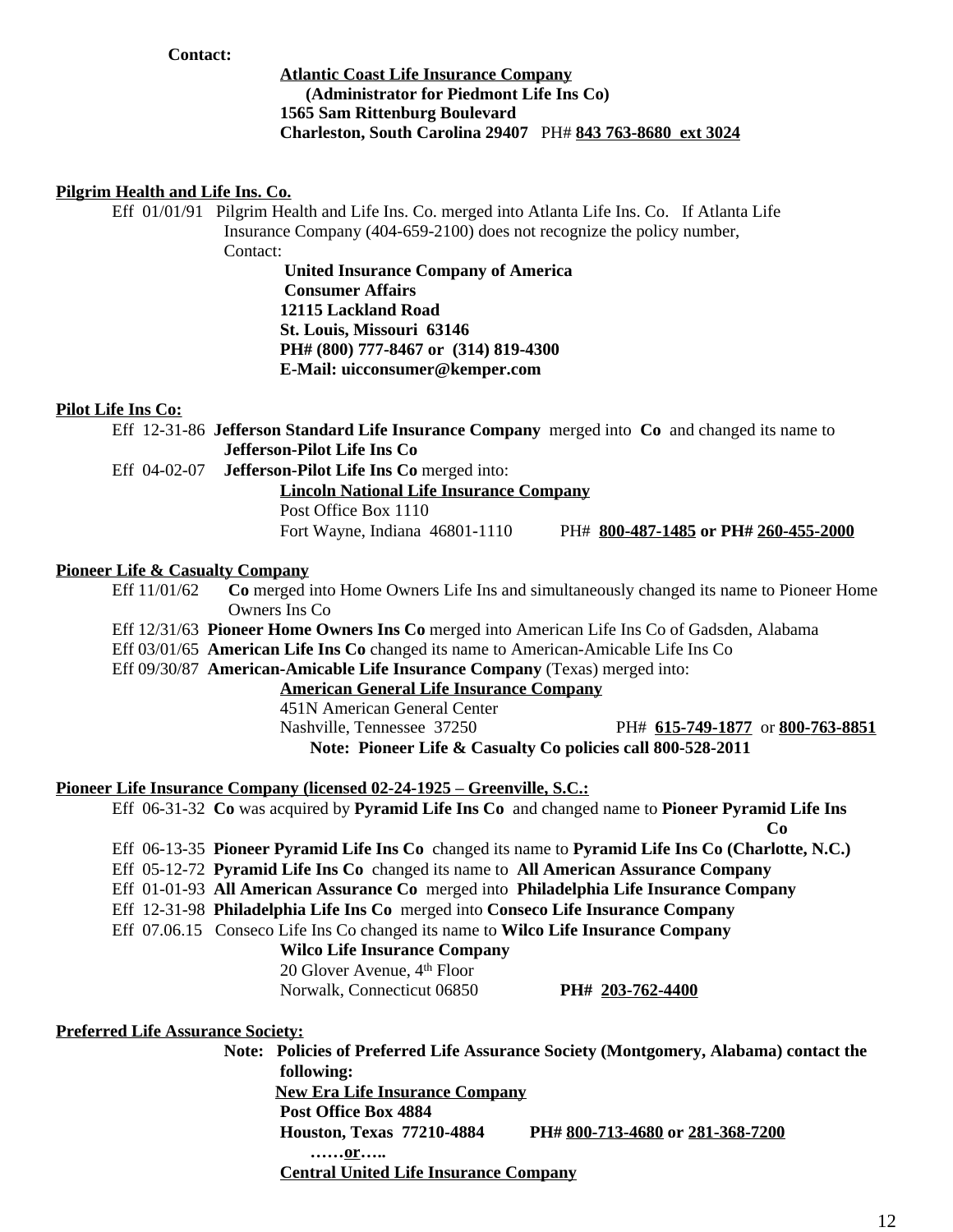### **Contact:**

# **Atlantic Coast Life Insurance Company (Administrator for Piedmont Life Ins Co) 1565 Sam Rittenburg Boulevard Charleston, South Carolina 29407** PH# **843 763-8680 ext 3024**

### **Pilgrim Health and Life Ins. Co.**

Eff 01/01/91 Pilgrim Health and Life Ins. Co. merged into Atlanta Life Ins. Co. If Atlanta Life Insurance Company (404-659-2100) does not recognize the policy number, Contact:

> **United Insurance Company of America Consumer Affairs 12115 Lackland Road St. Louis, Missouri 63146 PH# (800) 777-8467 or (314) 819-4300 E-Mail: uicconsumer@kemper.com**

### **Pilot Life Ins Co:**

Eff 12-31-86 **Jefferson Standard Life Insurance Company** merged into **Co** and changed its name to **Jefferson-Pilot Life Ins Co**

Eff 04-02-07 **Jefferson-Pilot Life Ins Co** merged into:

**Lincoln National Life Insurance Company**

Post Office Box 1110

Fort Wayne, Indiana 46801-1110 PH# **800-487-1485 or PH# 260-455-2000**

### **Pioneer Life & Casualty Company**

Eff 11/01/62 **Co** merged into Home Owners Life Ins and simultaneously changed its name to Pioneer Home Owners Ins Co

Eff 12/31/63 **Pioneer Home Owners Ins Co** merged into American Life Ins Co of Gadsden, Alabama

Eff 03/01/65 **American Life Ins Co** changed its name to American-Amicable Life Ins Co

Eff 09/30/87 **American-Amicable Life Insurance Company** (Texas) merged into:

**American General Life Insurance Company**

451N American General Center

Nashville, Tennessee 37250 PH# **615-749-1877** or **800-763-8851**

**Note: Pioneer Life & Casualty Co policies call 800-528-2011**

### **Pioneer Life Insurance Company (licensed 02-24-1925 – Greenville, S.C.:**

Eff 06-31-32 **Co** was acquired by **Pyramid Life Ins Co** and changed name to **Pioneer Pyramid Life Ins Co** Eff 06-13-35 **Pioneer Pyramid Life Ins Co** changed its name to **Pyramid Life Ins Co (Charlotte, N.C.)** Eff 05-12-72 **Pyramid Life Ins Co** changed its name to **All American Assurance Company** Eff 01-01-93 **All American Assurance Co** merged into **Philadelphia Life Insurance Company** Eff 12-31-98 **Philadelphia Life Ins Co** merged into **Conseco Life Insurance Company** Eff 07.06.15 Conseco Life Ins Co changed its name to **Wilco Life Insurance Company Wilco Life Insurance Company** 20 Glover Avenue, 4th Floor Norwalk, Connecticut 06850 **PH# 203-762-4400 Preferred Life Assurance Society: Note: Policies of Preferred Life Assurance Society (Montgomery, Alabama) contact the following: New Era Life Insurance Company Post Office Box 4884 Houston, Texas 77210-4884 PH# 800-713-4680 or 281-368-7200 ……or….. Central United Life Insurance Company**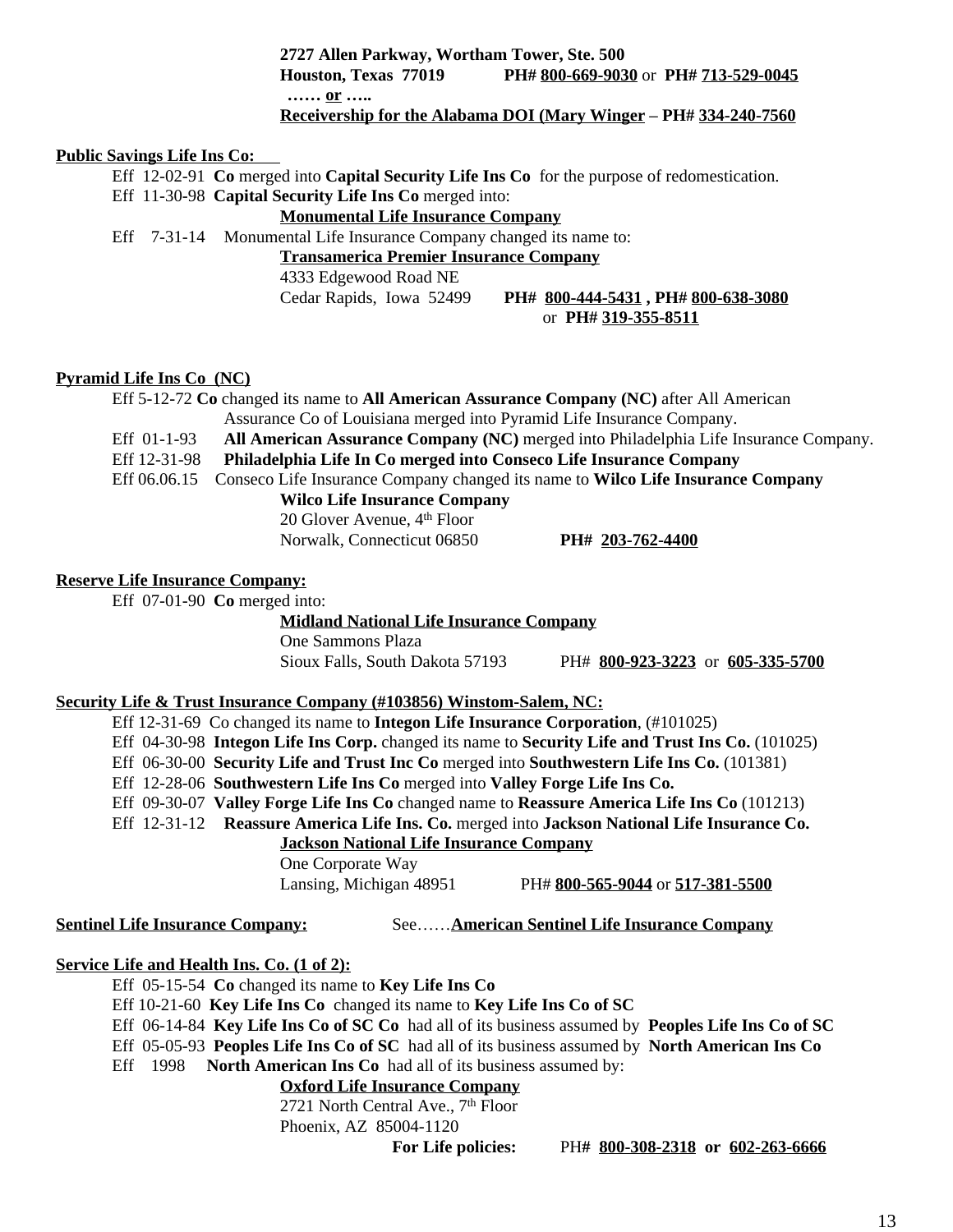**2727 Allen Parkway, Wortham Tower, Ste. 500 Houston, Texas 77019 PH# 800-669-9030** or **PH# 713-529-0045 …… or …..**

# **Receivership for the Alabama DOI (Mary Winger – PH# 334-240-7560**

### **Public Savings Life Ins Co:**

Eff 12-02-91 **Co** merged into **Capital Security Life Ins Co** for the purpose of redomestication. Eff 11-30-98 **Capital Security Life Ins Co** merged into:

# **Monumental Life Insurance Company**

Eff 7-31-14 Monumental Life Insurance Company changed its name to:

# **Transamerica Premier Insurance Company**

4333 Edgewood Road NE

Cedar Rapids, Iowa 52499 **PH# 800-444-5431 , PH# 800-638-3080** or **PH# 319-355-8511**

### **Pyramid Life Ins Co (NC)**

Eff 5-12-72 **Co** changed its name to **All American Assurance Company (NC)** after All American Assurance Co of Louisiana merged into Pyramid Life Insurance Company. Eff 01-1-93 **All American Assurance Company (NC)** merged into Philadelphia Life Insurance Company. Eff 12-31-98 **Philadelphia Life In Co merged into Conseco Life Insurance Company** Eff 06.06.15 Conseco Life Insurance Company changed its name to **Wilco Life Insurance Company Wilco Life Insurance Company**

20 Glover Avenue, 4th Floor

Norwalk, Connecticut 06850 **PH# 203-762-4400**

#### **Reserve Life Insurance Company:**

Eff 07-01-90 **Co** merged into:

**Midland National Life Insurance Company**

One Sammons Plaza

Sioux Falls, South Dakota 57193 PH# **800-923-3223** or **605-335-5700**

### **Security Life & Trust Insurance Company (#103856) Winstom-Salem, NC:**

Eff 12-31-69 Co changed its name to **Integon Life Insurance Corporation**, (#101025)

Eff 04-30-98 **Integon Life Ins Corp.** changed its name to **Security Life and Trust Ins Co.** (101025)

- Eff 06-30-00 **Security Life and Trust Inc Co** merged into **Southwestern Life Ins Co.** (101381)
- Eff 12-28-06 **Southwestern Life Ins Co** merged into **Valley Forge Life Ins Co.**

Eff 09-30-07 **Valley Forge Life Ins Co** changed name to **Reassure America Life Ins Co** (101213)

Eff 12-31-12 **Reassure America Life Ins. Co.** merged into **Jackson National Life Insurance Co.**

**Jackson National Life Insurance Company**

One Corporate Way

Lansing, Michigan 48951 PH# **800-565-9044** or **517-381-5500**

**Sentinel Life Insurance Company:** See……**American Sentinel Life Insurance Company**

# **Service Life and Health Ins. Co. (1 of 2):**

Eff 05-15-54 **Co** changed its name to **Key Life Ins Co**

Eff 10-21-60 **Key Life Ins Co** changed its name to **Key Life Ins Co of SC**

Eff 06-14-84 **Key Life Ins Co of SC Co** had all of its business assumed by **Peoples Life Ins Co of SC** Eff 05-05-93 **Peoples Life Ins Co of SC** had all of its business assumed by **North American Ins Co**

Eff 1998 **North American Ins Co** had all of its business assumed by:

# **Oxford Life Insurance Company**

2721 North Central Ave., 7<sup>th</sup> Floor Phoenix, AZ 85004-1120

**For Life policies:** PH**# 800-308-2318 or 602-263-6666**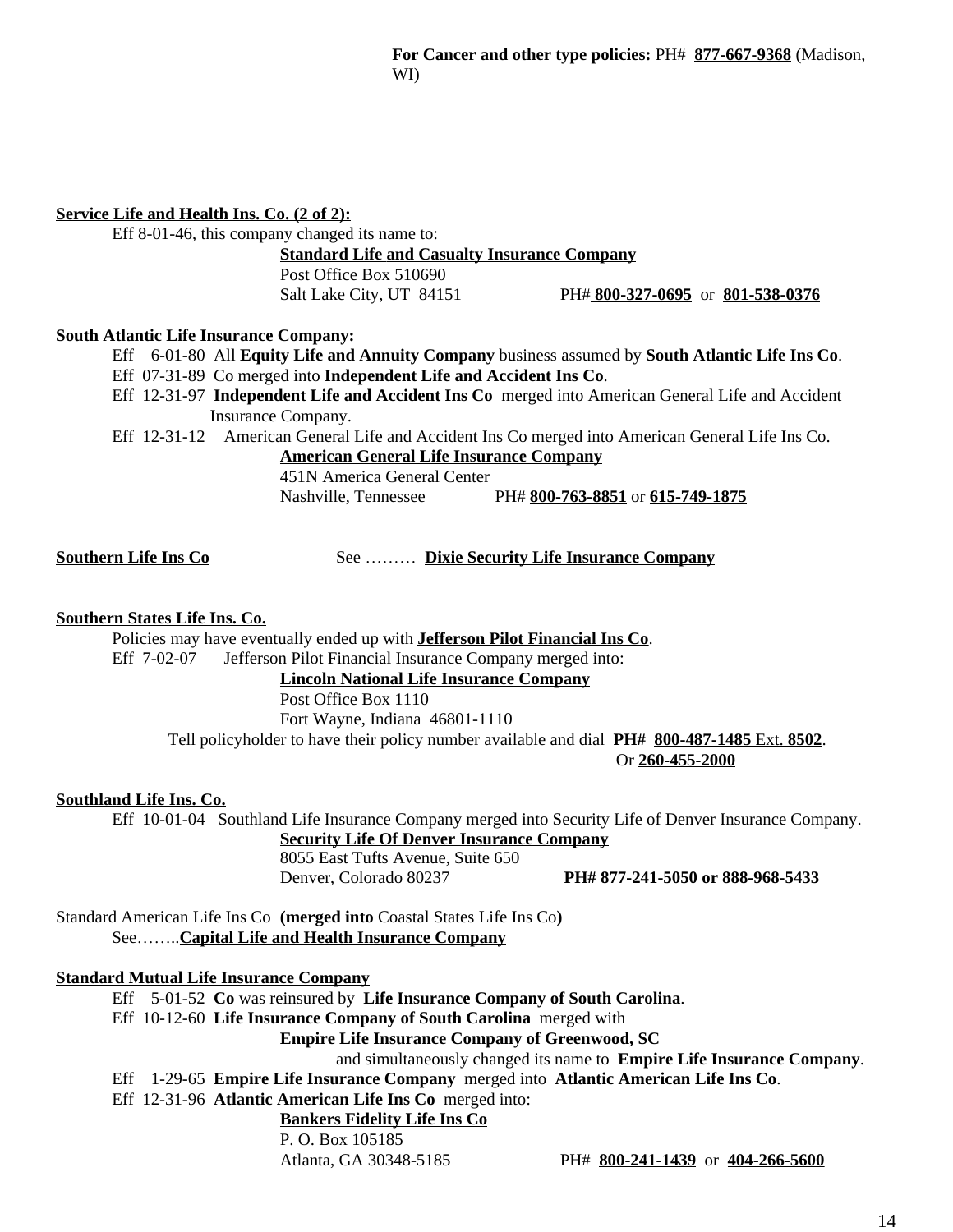# **Service Life and Health Ins. Co. (2 of 2):**

Eff 8-01-46, this company changed its name to:

**Standard Life and Casualty Insurance Company**

Post Office Box 510690

Salt Lake City, UT 84151 PH# **800-327-0695** or **801-538-0376**

### **South Atlantic Life Insurance Company:**

Eff 6-01-80 All **Equity Life and Annuity Company** business assumed by **South Atlantic Life Ins Co**. Eff 07-31-89 Co merged into **Independent Life and Accident Ins Co**.

Eff 12-31-97 **Independent Life and Accident Ins Co** merged into American General Life and Accident Insurance Company.

Eff 12-31-12 American General Life and Accident Ins Co merged into American General Life Ins Co.

**American General Life Insurance Company**

451N America General Center

Nashville, Tennessee PH# **800-763-8851** or **615-749-1875**

**Southern Life Ins Co** See ……… **Dixie Security Life Insurance Company**

# **Southern States Life Ins. Co.**

Policies may have eventually ended up with **Jefferson Pilot Financial Ins Co**. Eff 7-02-07 Jefferson Pilot Financial Insurance Company merged into:

**Lincoln National Life Insurance Company**

### Post Office Box 1110

Fort Wayne, Indiana 46801-1110

Tell policyholder to have their policy number available and dial **PH# 800-487-1485** Ext. **8502**.

Or **260-455-2000**

### **Southland Life Ins. Co.**

Eff 10-01-04 Southland Life Insurance Company merged into Security Life of Denver Insurance Company.

**Security Life Of Denver Insurance Company** 8055 East Tufts Avenue, Suite 650

Denver, Colorado 80237 **PH# 877-241-5050 or 888-968-5433**

Standard American Life Ins Co **(merged into** Coastal States Life Ins Co**)** See……..**Capital Life and Health Insurance Company**

### **Standard Mutual Life Insurance Company**

Eff 5-01-52 **Co** was reinsured by **Life Insurance Company of South Carolina**.

Eff 10-12-60 **Life Insurance Company of South Carolina** merged with

**Empire Life Insurance Company of Greenwood, SC**

and simultaneously changed its name to **Empire Life Insurance Company**.

Eff 1-29-65 **Empire Life Insurance Company** merged into **Atlantic American Life Ins Co**.

# Eff 12-31-96 **Atlantic American Life Ins Co** merged into:

# **Bankers Fidelity Life Ins Co**

P. O. Box 105185

Atlanta, GA 30348-5185 PH# **800-241-1439** or **404-266-5600**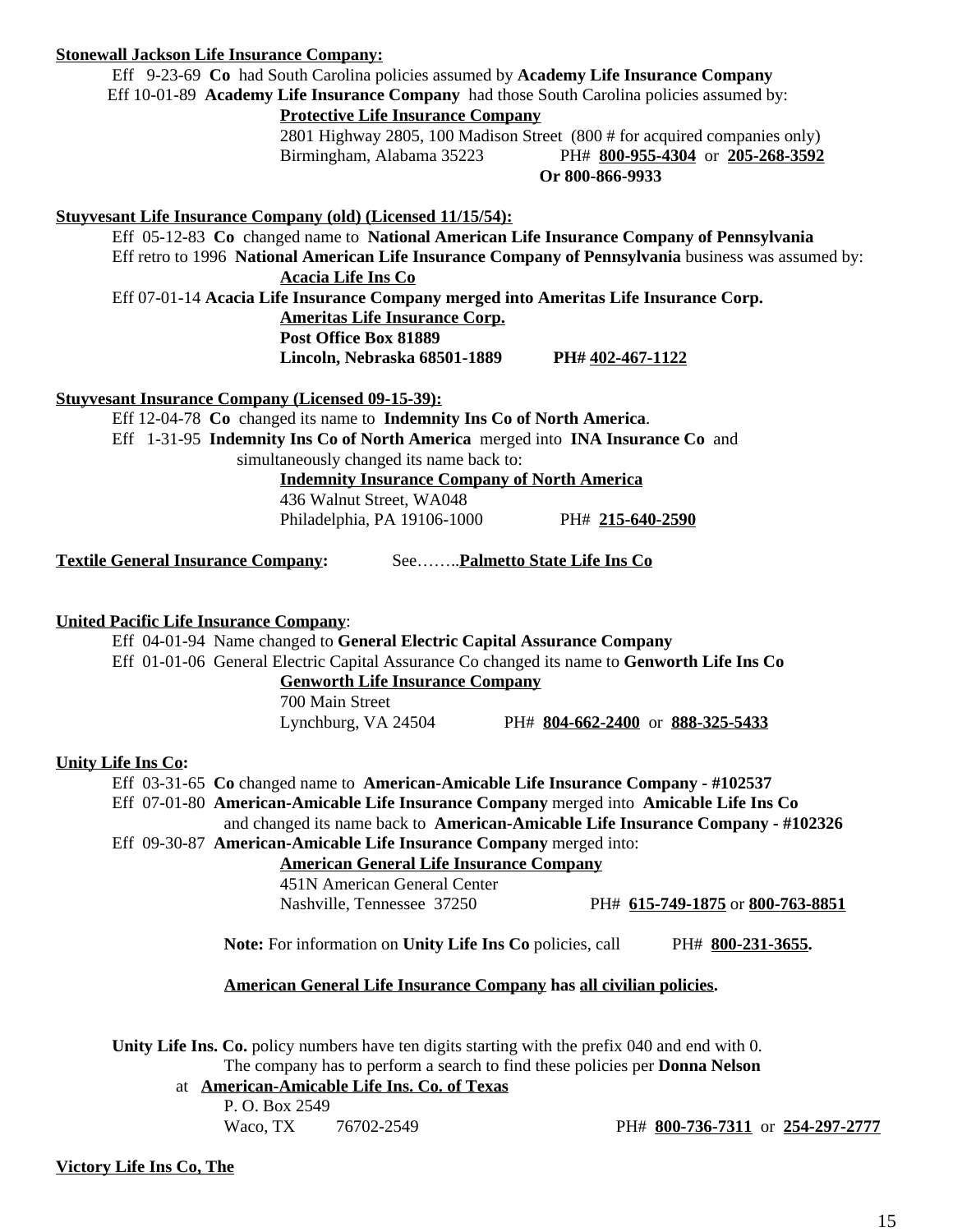### **Stonewall Jackson Life Insurance Company:**

Eff 9-23-69 **Co** had South Carolina policies assumed by **Academy Life Insurance Company**

Eff 10-01-89 **Academy Life Insurance Company** had those South Carolina policies assumed by:

**Protective Life Insurance Company**

2801 Highway 2805, 100 Madison Street (800 # for acquired companies only) Birmingham, Alabama 35223 PH# **800-955-4304** or **205-268-3592 Or 800-866-9933**

### **Stuyvesant Life Insurance Company (old) (Licensed 11/15/54):**

Eff 05-12-83 **Co** changed name to **National American Life Insurance Company of Pennsylvania** Eff retro to 1996 **National American Life Insurance Company of Pennsylvania** business was assumed by: **Acacia Life Ins Co**

Eff 07-01-14 **Acacia Life Insurance Company merged into Ameritas Life Insurance Corp.**

**Ameritas Life Insurance Corp. Post Office Box 81889 Lincoln, Nebraska 68501-1889 PH# 402-467-1122**

**Stuyvesant Insurance Company (Licensed 09-15-39):**

Eff 12-04-78 **Co** changed its name to **Indemnity Ins Co of North America**. Eff 1-31-95 **Indemnity Ins Co of North America** merged into **INA Insurance Co** and simultaneously changed its name back to: **Indemnity Insurance Company of North America**

436 Walnut Street, WA048 Philadelphia, PA 19106-1000 PH# **215-640-2590**

**Textile General Insurance Company:** See……..**Palmetto State Life Ins Co**

### **United Pacific Life Insurance Company**:

Eff 04-01-94 Name changed to **General Electric Capital Assurance Company** Eff 01-01-06 General Electric Capital Assurance Co changed its name to **Genworth Life Ins Co**

**Genworth Life Insurance Company**

700 Main Street

Lynchburg, VA 24504 PH# **804-662-2400** or **888-325-5433**

### **Unity Life Ins Co:**

Eff 03-31-65 **Co** changed name to **American-Amicable Life Insurance Company - #102537**

Eff 07-01-80 **American-Amicable Life Insurance Company** merged into **Amicable Life Ins Co**

and changed its name back to **American-Amicable Life Insurance Company - #102326**

Eff 09-30-87 **American-Amicable Life Insurance Company** merged into:

**American General Life Insurance Company**

451N American General Center

Nashville, Tennessee 37250 PH# **615-749-1875** or **800-763-8851**

**Note:** For information on **Unity Life Ins Co** policies, call PH# 800-231-3655.

### **American General Life Insurance Company has all civilian policies.**

**Unity Life Ins. Co.** policy numbers have ten digits starting with the prefix 040 and end with 0. The company has to perform a search to find these policies per **Donna Nelson**

at **American-Amicable Life Ins. Co. of Texas** 

P. O. Box 2549

Waco, TX 76702-2549 PH# **800-736-7311** or **254-297-2777**